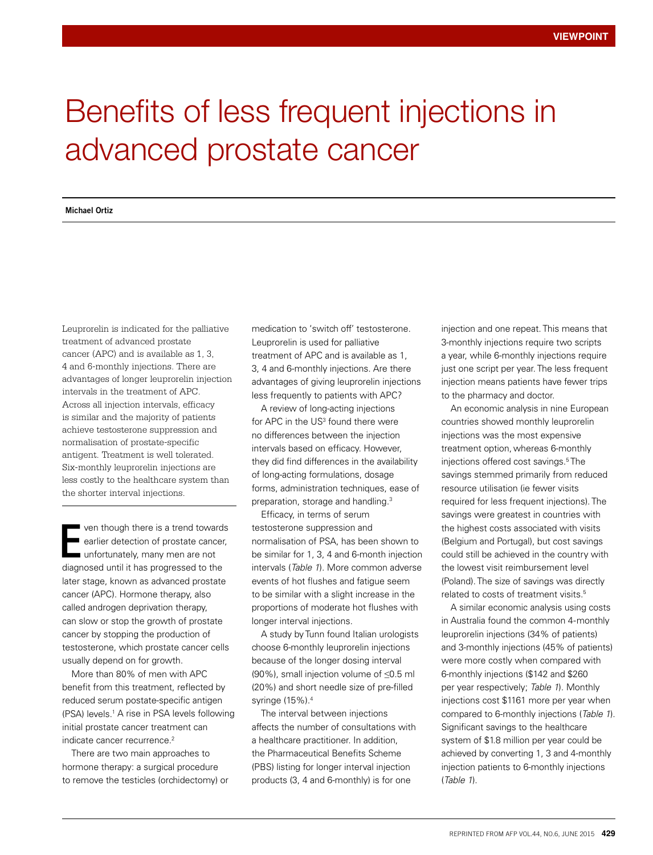## Benefits of less frequent injections in advanced prostate cancer

## **Michael Ortiz**

Leuprorelin is indicated for the palliative treatment of advanced prostate cancer (APC) and is available as 1, 3, 4 and 6-monthly injections. There are advantages of longer leuprorelin injection intervals in the treatment of APC. Across all injection intervals, efficacy is similar and the majority of patients achieve testosterone suppression and normalisation of prostate-specific antigent. Treatment is well tolerated. Six-monthly leuprorelin injections are less costly to the healthcare system than the shorter interval injections.

ven though there is a trend towards earlier detection of prostate cancer, unfortunately, many men are not diagnosed until it has progressed to the later stage, known as advanced prostate cancer (APC). Hormone therapy, also called androgen deprivation therapy, can slow or stop the growth of prostate cancer by stopping the production of testosterone, which prostate cancer cells usually depend on for growth. E

More than 80% of men with APC benefit from this treatment, reflected by reduced serum postate-specific antigen (PSA) levels.<sup>1</sup> A rise in PSA levels following initial prostate cancer treatment can indicate cancer recurrence.<sup>2</sup>

There are two main approaches to hormone therapy: a surgical procedure to remove the testicles (orchidectomy) or medication to 'switch off' testosterone. Leuprorelin is used for palliative treatment of APC and is available as 1, 3, 4 and 6-monthly injections. Are there advantages of giving leuprorelin injections less frequently to patients with APC?

A review of long-acting injections for APC in the US<sup>3</sup> found there were no differences between the injection intervals based on efficacy. However, they did find differences in the availability of long-acting formulations, dosage forms, administration techniques, ease of preparation, storage and handling.<sup>3</sup>

Efficacy, in terms of serum testosterone suppression and normalisation of PSA, has been shown to be similar for 1, 3, 4 and 6-month injection intervals (*Table 1*). More common adverse events of hot flushes and fatigue seem to be similar with a slight increase in the proportions of moderate hot flushes with longer interval injections.

A study by Tunn found Italian urologists choose 6-monthly leuprorelin injections because of the longer dosing interval (90%), small injection volume of ≤0.5 ml (20%) and short needle size of pre-filled syringe (15%).4

The interval between injections affects the number of consultations with a healthcare practitioner. In addition, the Pharmaceutical Benefits Scheme (PBS) listing for longer interval injection products (3, 4 and 6-monthly) is for one

injection and one repeat. This means that 3-monthly injections require two scripts a year, while 6-monthly injections require just one script per year. The less frequent injection means patients have fewer trips to the pharmacy and doctor.

An economic analysis in nine European countries showed monthly leuprorelin injections was the most expensive treatment option, whereas 6-monthly injections offered cost savings.5 The savings stemmed primarily from reduced resource utilisation (ie fewer visits required for less frequent injections). The savings were greatest in countries with the highest costs associated with visits (Belgium and Portugal), but cost savings could still be achieved in the country with the lowest visit reimbursement level (Poland). The size of savings was directly related to costs of treatment visits.<sup>5</sup>

A similar economic analysis using costs in Australia found the common 4-monthly leuprorelin injections (34% of patients) and 3-monthly injections (45% of patients) were more costly when compared with 6-monthly injections (\$142 and \$260 per year respectively; *Table 1*). Monthly injections cost \$1161 more per year when compared to 6-monthly injections (*Table 1*). Significant savings to the healthcare system of \$1.8 million per year could be achieved by converting 1, 3 and 4-monthly injection patients to 6-monthly injections (*Table 1*).